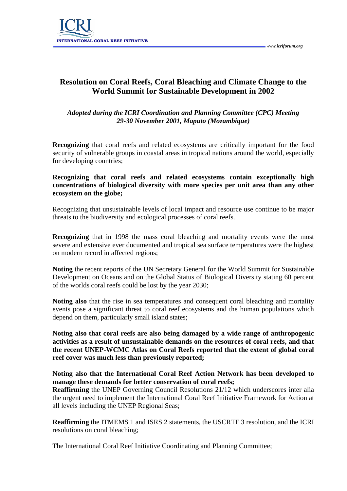

## **Resolution on Coral Reefs, Coral Bleaching and Climate Change to the World Summit for Sustainable Development in 2002**

## *Adopted during the ICRI Coordination and Planning Committee (CPC) Meeting 29-30 November 2001, Maputo (Mozambique)*

**Recognizing** that coral reefs and related ecosystems are critically important for the food security of vulnerable groups in coastal areas in tropical nations around the world, especially for developing countries;

## **Recognizing that coral reefs and related ecosystems contain exceptionally high concentrations of biological diversity with more species per unit area than any other ecosystem on the globe;**

Recognizing that unsustainable levels of local impact and resource use continue to be major threats to the biodiversity and ecological processes of coral reefs.

**Recognizing** that in 1998 the mass coral bleaching and mortality events were the most severe and extensive ever documented and tropical sea surface temperatures were the highest on modern record in affected regions;

**Noting** the recent reports of the UN Secretary General for the World Summit for Sustainable Development on Oceans and on the Global Status of Biological Diversity stating 60 percent of the worlds coral reefs could be lost by the year 2030;

**Noting also** that the rise in sea temperatures and consequent coral bleaching and mortality events pose a significant threat to coral reef ecosystems and the human populations which depend on them, particularly small island states;

**Noting also that coral reefs are also being damaged by a wide range of anthropogenic activities as a result of unsustainable demands on the resources of coral reefs, and that the recent UNEP-WCMC Atlas on Coral Reefs reported that the extent of global coral reef cover was much less than previously reported;** 

## **Noting also that the International Coral Reef Action Network has been developed to manage these demands for better conservation of coral reefs;**

**Reaffirming** the UNEP Governing Council Resolutions 21/12 which underscores inter alia the urgent need to implement the International Coral Reef Initiative Framework for Action at all levels including the UNEP Regional Seas;

**Reaffirming** the ITMEMS 1 and ISRS 2 statements, the USCRTF 3 resolution, and the ICRI resolutions on coral bleaching;

The International Coral Reef Initiative Coordinating and Planning Committee;